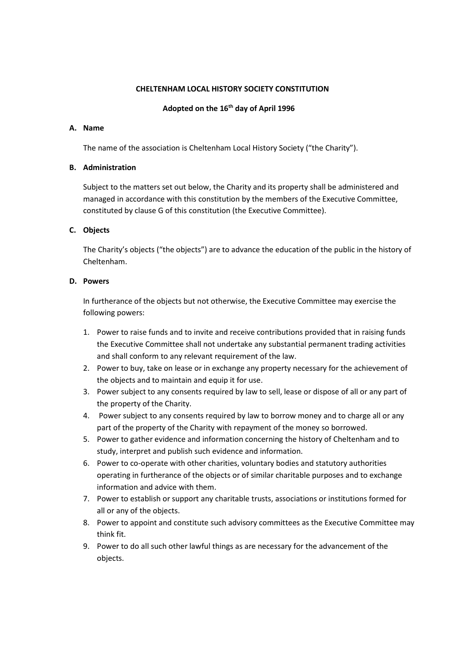### **CHELTENHAM LOCAL HISTORY SOCIETY CONSTITUTION**

## **Adopted on the 16th day of April 1996**

#### **A. Name**

The name of the association is Cheltenham Local History Society ("the Charity").

### **B. Administration**

Subject to the matters set out below, the Charity and its property shall be administered and managed in accordance with this constitution by the members of the Executive Committee, constituted by clause G of this constitution (the Executive Committee).

## **C. Objects**

The Charity's objects ("the objects") are to advance the education of the public in the history of Cheltenham.

## **D. Powers**

In furtherance of the objects but not otherwise, the Executive Committee may exercise the following powers:

- 1. Power to raise funds and to invite and receive contributions provided that in raising funds the Executive Committee shall not undertake any substantial permanent trading activities and shall conform to any relevant requirement of the law.
- 2. Power to buy, take on lease or in exchange any property necessary for the achievement of the objects and to maintain and equip it for use.
- 3. Power subject to any consents required by law to sell, lease or dispose of all or any part of the property of the Charity.
- 4. Power subject to any consents required by law to borrow money and to charge all or any part of the property of the Charity with repayment of the money so borrowed.
- 5. Power to gather evidence and information concerning the history of Cheltenham and to study, interpret and publish such evidence and information.
- 6. Power to co-operate with other charities, voluntary bodies and statutory authorities operating in furtherance of the objects or of similar charitable purposes and to exchange information and advice with them.
- 7. Power to establish or support any charitable trusts, associations or institutions formed for all or any of the objects.
- 8. Power to appoint and constitute such advisory committees as the Executive Committee may think fit.
- 9. Power to do all such other lawful things as are necessary for the advancement of the objects.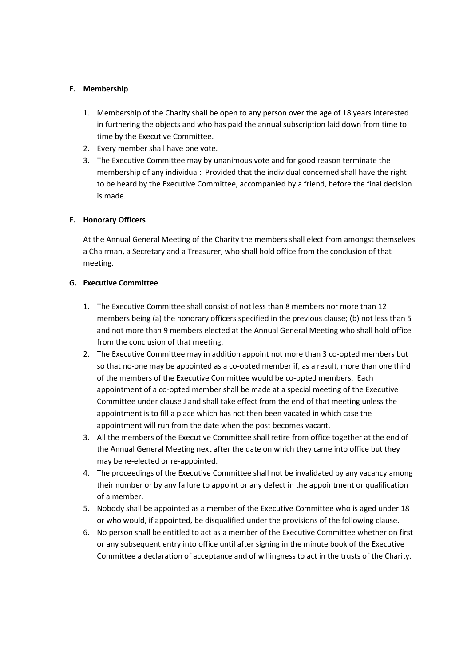## **E. Membership**

- 1. Membership of the Charity shall be open to any person over the age of 18 years interested in furthering the objects and who has paid the annual subscription laid down from time to time by the Executive Committee.
- 2. Every member shall have one vote.
- 3. The Executive Committee may by unanimous vote and for good reason terminate the membership of any individual: Provided that the individual concerned shall have the right to be heard by the Executive Committee, accompanied by a friend, before the final decision is made.

# **F. Honorary Officers**

At the Annual General Meeting of the Charity the members shall elect from amongst themselves a Chairman, a Secretary and a Treasurer, who shall hold office from the conclusion of that meeting.

## **G. Executive Committee**

- 1. The Executive Committee shall consist of not less than 8 members nor more than 12 members being (a) the honorary officers specified in the previous clause; (b) not less than 5 and not more than 9 members elected at the Annual General Meeting who shall hold office from the conclusion of that meeting.
- 2. The Executive Committee may in addition appoint not more than 3 co-opted members but so that no-one may be appointed as a co-opted member if, as a result, more than one third of the members of the Executive Committee would be co-opted members. Each appointment of a co-opted member shall be made at a special meeting of the Executive Committee under clause J and shall take effect from the end of that meeting unless the appointment is to fill a place which has not then been vacated in which case the appointment will run from the date when the post becomes vacant.
- 3. All the members of the Executive Committee shall retire from office together at the end of the Annual General Meeting next after the date on which they came into office but they may be re-elected or re-appointed.
- 4. The proceedings of the Executive Committee shall not be invalidated by any vacancy among their number or by any failure to appoint or any defect in the appointment or qualification of a member.
- 5. Nobody shall be appointed as a member of the Executive Committee who is aged under 18 or who would, if appointed, be disqualified under the provisions of the following clause.
- 6. No person shall be entitled to act as a member of the Executive Committee whether on first or any subsequent entry into office until after signing in the minute book of the Executive Committee a declaration of acceptance and of willingness to act in the trusts of the Charity.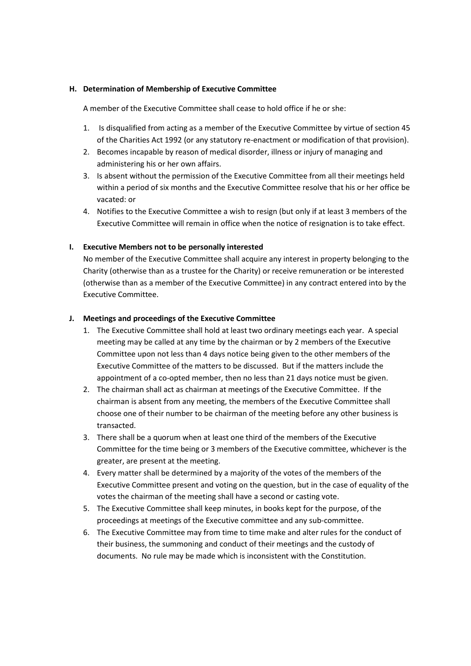### **H. Determination of Membership of Executive Committee**

A member of the Executive Committee shall cease to hold office if he or she:

- 1. Is disqualified from acting as a member of the Executive Committee by virtue of section 45 of the Charities Act 1992 (or any statutory re-enactment or modification of that provision).
- 2. Becomes incapable by reason of medical disorder, illness or injury of managing and administering his or her own affairs.
- 3. Is absent without the permission of the Executive Committee from all their meetings held within a period of six months and the Executive Committee resolve that his or her office be vacated: or
- 4. Notifies to the Executive Committee a wish to resign (but only if at least 3 members of the Executive Committee will remain in office when the notice of resignation is to take effect.

### **I. Executive Members not to be personally interested**

No member of the Executive Committee shall acquire any interest in property belonging to the Charity (otherwise than as a trustee for the Charity) or receive remuneration or be interested (otherwise than as a member of the Executive Committee) in any contract entered into by the Executive Committee.

### **J. Meetings and proceedings of the Executive Committee**

- 1. The Executive Committee shall hold at least two ordinary meetings each year. A special meeting may be called at any time by the chairman or by 2 members of the Executive Committee upon not less than 4 days notice being given to the other members of the Executive Committee of the matters to be discussed. But if the matters include the appointment of a co-opted member, then no less than 21 days notice must be given.
- 2. The chairman shall act as chairman at meetings of the Executive Committee. If the chairman is absent from any meeting, the members of the Executive Committee shall choose one of their number to be chairman of the meeting before any other business is transacted.
- 3. There shall be a quorum when at least one third of the members of the Executive Committee for the time being or 3 members of the Executive committee, whichever is the greater, are present at the meeting.
- 4. Every matter shall be determined by a majority of the votes of the members of the Executive Committee present and voting on the question, but in the case of equality of the votes the chairman of the meeting shall have a second or casting vote.
- 5. The Executive Committee shall keep minutes, in books kept for the purpose, of the proceedings at meetings of the Executive committee and any sub-committee.
- 6. The Executive Committee may from time to time make and alter rules for the conduct of their business, the summoning and conduct of their meetings and the custody of documents. No rule may be made which is inconsistent with the Constitution.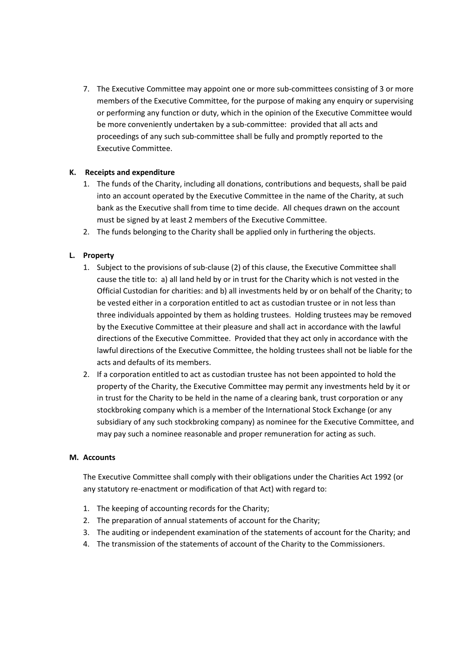7. The Executive Committee may appoint one or more sub-committees consisting of 3 or more members of the Executive Committee, for the purpose of making any enquiry or supervising or performing any function or duty, which in the opinion of the Executive Committee would be more conveniently undertaken by a sub-committee: provided that all acts and proceedings of any such sub-committee shall be fully and promptly reported to the Executive Committee.

# **K. Receipts and expenditure**

- 1. The funds of the Charity, including all donations, contributions and bequests, shall be paid into an account operated by the Executive Committee in the name of the Charity, at such bank as the Executive shall from time to time decide. All cheques drawn on the account must be signed by at least 2 members of the Executive Committee.
- 2. The funds belonging to the Charity shall be applied only in furthering the objects.

# **L. Property**

- 1. Subject to the provisions of sub-clause (2) of this clause, the Executive Committee shall cause the title to: a) all land held by or in trust for the Charity which is not vested in the Official Custodian for charities: and b) all investments held by or on behalf of the Charity; to be vested either in a corporation entitled to act as custodian trustee or in not less than three individuals appointed by them as holding trustees. Holding trustees may be removed by the Executive Committee at their pleasure and shall act in accordance with the lawful directions of the Executive Committee. Provided that they act only in accordance with the lawful directions of the Executive Committee, the holding trustees shall not be liable for the acts and defaults of its members.
- 2. If a corporation entitled to act as custodian trustee has not been appointed to hold the property of the Charity, the Executive Committee may permit any investments held by it or in trust for the Charity to be held in the name of a clearing bank, trust corporation or any stockbroking company which is a member of the International Stock Exchange (or any subsidiary of any such stockbroking company) as nominee for the Executive Committee, and may pay such a nominee reasonable and proper remuneration for acting as such.

## **M. Accounts**

The Executive Committee shall comply with their obligations under the Charities Act 1992 (or any statutory re-enactment or modification of that Act) with regard to:

- 1. The keeping of accounting records for the Charity;
- 2. The preparation of annual statements of account for the Charity;
- 3. The auditing or independent examination of the statements of account for the Charity; and
- 4. The transmission of the statements of account of the Charity to the Commissioners.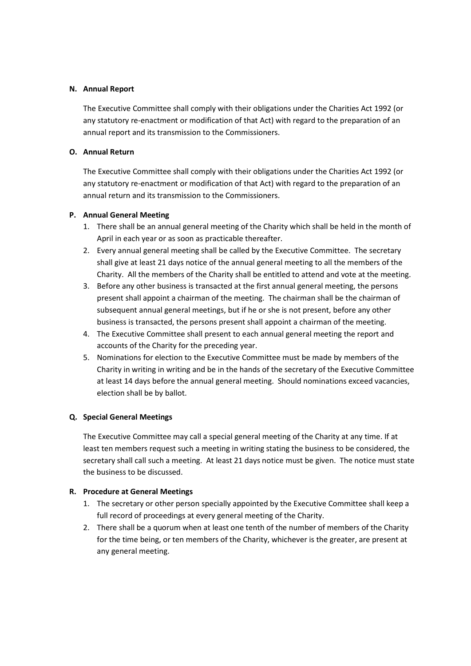### **N. Annual Report**

The Executive Committee shall comply with their obligations under the Charities Act 1992 (or any statutory re-enactment or modification of that Act) with regard to the preparation of an annual report and its transmission to the Commissioners.

## **O. Annual Return**

The Executive Committee shall comply with their obligations under the Charities Act 1992 (or any statutory re-enactment or modification of that Act) with regard to the preparation of an annual return and its transmission to the Commissioners.

### **P. Annual General Meeting**

- 1. There shall be an annual general meeting of the Charity which shall be held in the month of April in each year or as soon as practicable thereafter.
- 2. Every annual general meeting shall be called by the Executive Committee. The secretary shall give at least 21 days notice of the annual general meeting to all the members of the Charity. All the members of the Charity shall be entitled to attend and vote at the meeting.
- 3. Before any other business is transacted at the first annual general meeting, the persons present shall appoint a chairman of the meeting. The chairman shall be the chairman of subsequent annual general meetings, but if he or she is not present, before any other business is transacted, the persons present shall appoint a chairman of the meeting.
- 4. The Executive Committee shall present to each annual general meeting the report and accounts of the Charity for the preceding year.
- 5. Nominations for election to the Executive Committee must be made by members of the Charity in writing in writing and be in the hands of the secretary of the Executive Committee at least 14 days before the annual general meeting. Should nominations exceed vacancies, election shall be by ballot.

## **Q. Special General Meetings**

The Executive Committee may call a special general meeting of the Charity at any time. If at least ten members request such a meeting in writing stating the business to be considered, the secretary shall call such a meeting. At least 21 days notice must be given. The notice must state the business to be discussed.

## **R. Procedure at General Meetings**

- 1. The secretary or other person specially appointed by the Executive Committee shall keep a full record of proceedings at every general meeting of the Charity.
- 2. There shall be a quorum when at least one tenth of the number of members of the Charity for the time being, or ten members of the Charity, whichever is the greater, are present at any general meeting.